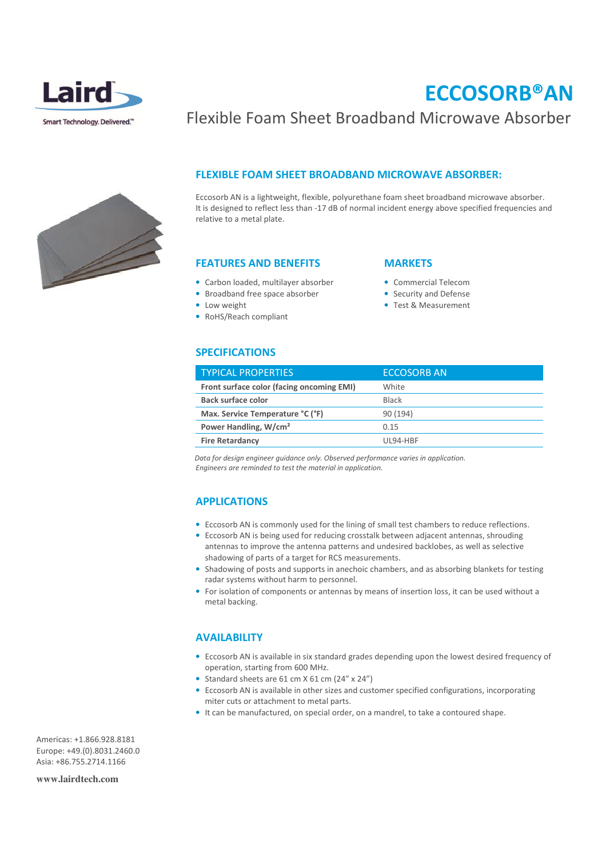

# ECCOSORB®AN

## Flexible Foam Sheet Broadband Microwave Absorber



## FLEXIBLE FOAM SHEET BROADBAND MICROWAVE ABSORBER:

Eccosorb AN is a lightweight, flexible, polyurethane foam sheet broadband microwave absorber. It is designed to reflect less than -17 dB of normal incident energy above specified frequencies and relative to a metal plate.

#### FEATURES AND BENEFITS

- Carbon loaded, multilayer absorber
- Broadband free space absorber
- Low weight
- RoHS/Reach compliant

#### **MARKETS**

- Commercial Telecom
- Security and Defense
- Test & Measurement

#### SPECIFICATIONS

| <b>TYPICAL PROPERTIES</b>                 | <b>ECCOSORB AN</b> |
|-------------------------------------------|--------------------|
| Front surface color (facing oncoming EMI) | White              |
| Back surface color                        | <b>Black</b>       |
| Max. Service Temperature °C (°F)          | 90 (194)           |
| Power Handling, W/cm <sup>2</sup>         | 0.15               |
| <b>Fire Retardancy</b>                    | UI 94-HRF          |

Data for design engineer guidance only. Observed performance varies in application. Engineers are reminded to test the material in application.

### APPLICATIONS

- Eccosorb AN is commonly used for the lining of small test chambers to reduce reflections.
- Eccosorb AN is being used for reducing crosstalk between adjacent antennas, shrouding antennas to improve the antenna patterns and undesired backlobes, as well as selective shadowing of parts of a target for RCS measurements.
- Shadowing of posts and supports in anechoic chambers, and as absorbing blankets for testing radar systems without harm to personnel.
- For isolation of components or antennas by means of insertion loss, it can be used without a metal backing.

### AVAILABILITY

- Eccosorb AN is available in six standard grades depending upon the lowest desired frequency of operation, starting from 600 MHz.
- Standard sheets are 61 cm X 61 cm (24" x 24")
- Eccosorb AN is available in other sizes and customer specified configurations, incorporating miter cuts or attachment to metal parts.
- It can be manufactured, on special order, on a mandrel, to take a contoured shape.

Americas: +1.866.928.8181 Europe: +49.(0).8031.2460.0 Asia: +86.755.2714.1166

**www.lairdtech.com**